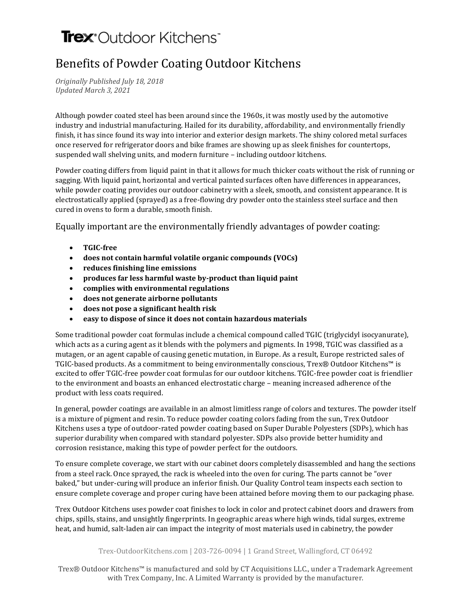## Trex<sup>\*</sup>Outdoor Kitchens<sup>\*</sup>

## Benefits of Powder Coating Outdoor Kitchens

*Originally Published July 18, 2018 Updated March 3, 2021*

Although powder coated steel has been around since the 1960s, it was mostly used by the automotive industry and industrial manufacturing. Hailed for its durability, affordability, and environmentally friendly finish, it has since found its way into interior and exterior design markets. The shiny colored metal surfaces once reserved for refrigerator doors and bike frames are showing up as sleek finishes for [countertops,](https://danver.com/amenities/countertops/)  suspended wall shelving units, and modern furniture – including outdoor kitchens.

Powder coating differs from liquid paint in that it allows for much thicker coats without the risk of running or sagging. With liquid paint, horizontal and vertical painted surfaces often have differences in appearances, while powder coating provides our outdoor [cabinetry](https://danver.com/cabinetry/) with a sleek, smooth, and consistent appearance. It is electrostatically applied (sprayed) as a free-flowing dry powder onto the stainless steel surface and then cured in ovens to form a durable, smooth finish.

Equally important are the environmentally friendly advantages of powder coating:

- **TGIC-free**
- **does not contain harmful volatile organic compounds (VOCs)**
- **reduces finishing line emissions**
- **produces far less harmful waste by-product than liquid paint**
- **complies with environmental regulations**
- **does not generate airborne pollutants**
- **does not pose a significant health risk**
- **easy to dispose of since it does not contain hazardous materials**

Some traditional powder coat formulas include a chemical compound called TGIC (triglycidyl isocyanurate), which acts as a curing agent as it blends with the polymers and pigments. In 1998, TGIC was classified as a mutagen, or an agent capable of causing genetic mutation, in Europe. As a result, Europe restricted sales of TGIC-based products. As a commitment to being environmentally conscious, Trex® Outdoor Kitchens™ is excited to offer TGIC-free powder coat formulas for our outdoor kitchens. TGIC-free powder coat is friendlier to the environment and boasts an enhanced electrostatic charge – meaning increased adherence of the product with less coats required.

In general, powder coatings are available in an almost limitless range of colors and textures. The powder itself is a mixture of pigment and resin. To reduce powder coating colors fading from the sun, Trex Outdoor Kitchens uses a type of outdoor-rated powder coating based on Super Durable Polyesters (SDPs), which has superior durability when compared with standard polyester. SDPs also provide better humidity and corrosion resistance, making this type of powder perfect for the outdoors.

To ensure complete coverage, we start with our cabinet doors completely disassembled and hang the sections from a steel rack. Once sprayed, the rack is wheeled into the oven for curing. The parts cannot be "over baked," but under-curing will produce an inferior finish. Our Quality Control team inspects each section to ensure complete coverage and proper curing have been attained before moving them to our packaging phase.

Trex Outdoor Kitchens uses powder coat finishes to lock in color and protect cabinet doors and drawers from chips, spills, stains, and unsightly fingerprints. In geographic areas where high winds, tidal surges, extreme heat, and humid, salt-laden air can impact the integrity of most materials used in cabinetry, the powder

## Trex-OutdoorKitchens.com | 203-726-0094 | 1 Grand Street, Wallingford, CT 06492

Trex® Outdoor Kitchens™ is manufactured and sold by CT Acquisitions LLC., under a Trademark Agreement with Trex Company, Inc. A Limited Warranty is provided by the manufacturer.